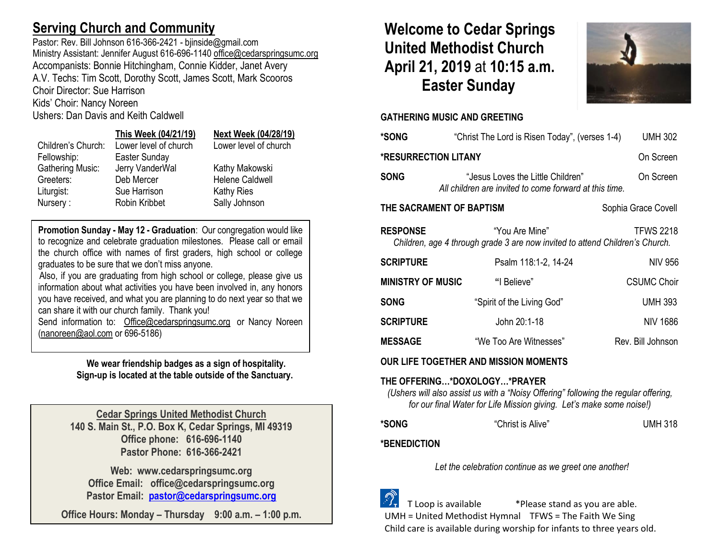# **Serving Church and Community**

Pastor: Rev. Bill Johnson 616-366-2421 - bjinside@gmail.com Ministry Assistant: Jennifer August 616-696-1140 [office@cedarspringsumc.org](mailto:office@cedarspringsumc.org) Accompanists: Bonnie Hitchingham, Connie Kidder, Janet Avery A.V. Techs: Tim Scott, Dorothy Scott, James Scott, Mark Scooros Choir Director: Sue Harrison

Kids' Choir: Nancy Noreen

Ushers: Dan Davis and Keith Caldwell

## **This Week (04/21/19) Next Week (04/28/19)**

# Children's Church: Lower level of church Lower level of church

Fellowship: Easter Sunday Gathering Music: Jerry VanderWal Kathy Makowski Greeters: Deb Mercer Helene Caldwell Liturgist: Sue Harrison Kathy Ries Nursery : Robin Kribbet Sally Johnson

**Promotion Sunday - May 12 - Graduation**: Our congregation would like to recognize and celebrate graduation milestones. Please call or email the church office with names of first graders, high school or college graduates to be sure that we don't miss anyone.

Also, if you are graduating from high school or college, please give us information about what activities you have been involved in, any honors you have received, and what you are planning to do next year so that we can share it with our church family. Thank you!

Send information to: [Office@cedarspringsumc.org](mailto:Office@cedarspringsumc.org) or Nancy Noreen [\(nanoreen@aol.com](mailto:nanoreen@aol.com) or 696-5186)

> **We wear friendship badges as a sign of hospitality. Sign-up is located at the table outside of the Sanctuary.**

**Cedar Springs United Methodist Church 140 S. Main St., P.O. Box K, Cedar Springs, MI 49319 Office phone: 616-696-1140 Pastor Phone: 616-366-2421**

**Web: www.cedarspringsumc.org Office Email: office@cedarspringsumc.org Pastor Email: [pastor@cedarspringsumc.org](mailto:pastor@cedarspringsumc.org)**

**Office Hours: Monday – Thursday 9:00 a.m. – 1:00 p.m.**

# **Welcome to Cedar Springs United Methodist Church April 21, 2019** at **10:15 a.m. Easter Sunday**



## **GATHERING MUSIC AND GREETING**

| *SONG                                                                                                                                 | "Christ The Lord is Risen Today", (verses 1-4)                                                           | <b>UMH 302</b>      |  |  |  |
|---------------------------------------------------------------------------------------------------------------------------------------|----------------------------------------------------------------------------------------------------------|---------------------|--|--|--|
| <b>*RESURRECTION LITANY</b>                                                                                                           |                                                                                                          | On Screen           |  |  |  |
| <b>SONG</b>                                                                                                                           | "Jesus Loves the Little Children"<br>On Screen<br>All children are invited to come forward at this time. |                     |  |  |  |
| THE SACRAMENT OF BAPTISM                                                                                                              |                                                                                                          | Sophia Grace Covell |  |  |  |
| <b>RESPONSE</b><br>"You Are Mine"<br><b>TFWS 2218</b><br>Children, age 4 through grade 3 are now invited to attend Children's Church. |                                                                                                          |                     |  |  |  |
| <b>SCRIPTURE</b>                                                                                                                      | Psalm 118:1-2, 14-24                                                                                     | NIV 956             |  |  |  |
| <b>MINISTRY OF MUSIC</b>                                                                                                              | "I Believe"                                                                                              | <b>CSUMC Choir</b>  |  |  |  |
| <b>SONG</b>                                                                                                                           | "Spirit of the Living God"                                                                               | <b>UMH 393</b>      |  |  |  |
| <b>SCRIPTURE</b>                                                                                                                      | John 20:1-18                                                                                             | NIV 1686            |  |  |  |
| <b>MESSAGE</b>                                                                                                                        | "We Too Are Witnesses"                                                                                   | Rev. Bill Johnson   |  |  |  |
| OUR LIFE TOGETHER AND MISSION MOMENTS                                                                                                 |                                                                                                          |                     |  |  |  |

## **THE OFFERING…\*DOXOLOGY…\*PRAYER**

*(Ushers will also assist us with a "Noisy Offering" following the regular offering, for our final Water for Life Mission giving. Let's make some noise!)*

| *SONG | "Christ is Alive" | <b>UMH 318</b> |
|-------|-------------------|----------------|
|       |                   |                |

## **\*BENEDICTION**

*Let the celebration continue as we greet one another!*

 T Loop is available \*Please stand as you are able. UMH = United Methodist Hymnal TFWS = The Faith We Sing Child care is available during worship for infants to three years old.